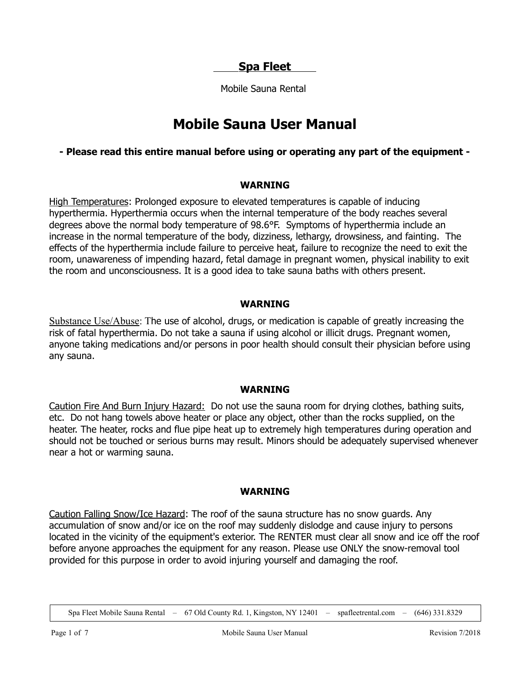**Spa Fleet** 

Mobile Sauna Rental

# **Mobile Sauna User Manual**

## **- Please read this entire manual before using or operating any part of the equipment -**

#### **WARNING**

High Temperatures: Prolonged exposure to elevated temperatures is capable of inducing hyperthermia. Hyperthermia occurs when the internal temperature of the body reaches several degrees above the normal body temperature of 98.6°F. Symptoms of hyperthermia include an increase in the normal temperature of the body, dizziness, lethargy, drowsiness, and fainting. The effects of the hyperthermia include failure to perceive heat, failure to recognize the need to exit the room, unawareness of impending hazard, fetal damage in pregnant women, physical inability to exit the room and unconsciousness. It is a good idea to take sauna baths with others present.

### **WARNING**

Substance Use/Abuse: The use of alcohol, drugs, or medication is capable of greatly increasing the risk of fatal hyperthermia. Do not take a sauna if using alcohol or illicit drugs. Pregnant women, anyone taking medications and/or persons in poor health should consult their physician before using any sauna.

#### **WARNING**

Caution Fire And Burn Injury Hazard: Do not use the sauna room for drying clothes, bathing suits, etc. Do not hang towels above heater or place any object, other than the rocks supplied, on the heater. The heater, rocks and flue pipe heat up to extremely high temperatures during operation and should not be touched or serious burns may result. Minors should be adequately supervised whenever near a hot or warming sauna.

#### **WARNING**

Caution Falling Snow/Ice Hazard: The roof of the sauna structure has no snow guards. Any accumulation of snow and/or ice on the roof may suddenly dislodge and cause injury to persons located in the vicinity of the equipment's exterior. The RENTER must clear all snow and ice off the roof before anyone approaches the equipment for any reason. Please use ONLY the snow-removal tool provided for this purpose in order to avoid injuring yourself and damaging the roof.

Spa Fleet Mobile Sauna Rental – 67 Old County Rd. 1, Kingston, NY 12401 – spafleetrental.com – (646) 331.8329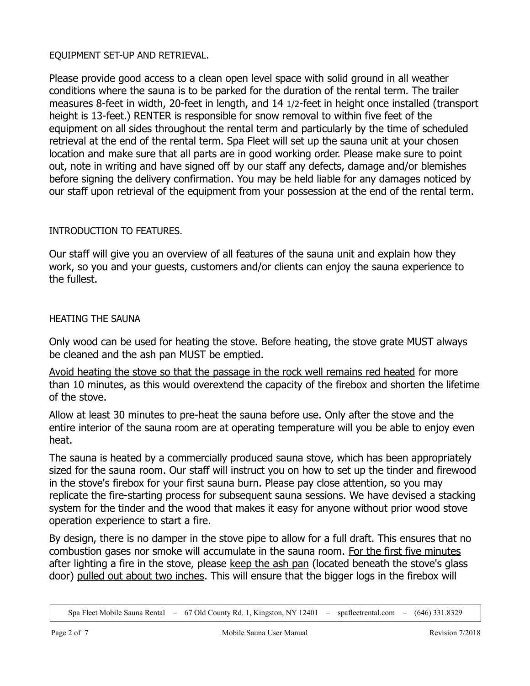### EQUIPMENT SET-UP AND RETRIEVAL.

Please provide good access to a clean open level space with solid ground in all weather conditions where the sauna is to be parked for the duration of the rental term. The trailer measures 8-feet in width, 20-feet in length, and 14 1/2-feet in height once installed (transport height is 13-feet.) RENTER is responsible for snow removal to within five feet of the equipment on all sides throughout the rental term and particularly by the time of scheduled retrieval at the end of the rental term. Spa Fleet will set up the sauna unit at your chosen location and make sure that all parts are in good working order. Please make sure to point out, note in writing and have signed off by our staff any defects, damage and/or blemishes before signing the delivery confirmation. You may be held liable for any damages noticed by our staff upon retrieval of the equipment from your possession at the end of the rental term.

## INTRODUCTION TO FEATURES.

Our staff will give you an overview of all features of the sauna unit and explain how they work, so you and your guests, customers and/or clients can enjoy the sauna experience to the fullest.

### HEATING THE SAUNA

Only wood can be used for heating the stove. Before heating, the stove grate MUST always be cleaned and the ash pan MUST be emptied.

Avoid heating the stove so that the passage in the rock well remains red heated for more than 10 minutes, as this would overextend the capacity of the firebox and shorten the lifetime of the stove.

Allow at least 30 minutes to pre-heat the sauna before use. Only after the stove and the entire interior of the sauna room are at operating temperature will you be able to enjoy even heat.

The sauna is heated by a commercially produced sauna stove, which has been appropriately sized for the sauna room. Our staff will instruct you on how to set up the tinder and firewood in the stove's firebox for your first sauna burn. Please pay close attention, so you may replicate the fire-starting process for subsequent sauna sessions. We have devised a stacking system for the tinder and the wood that makes it easy for anyone without prior wood stove operation experience to start a fire.

By design, there is no damper in the stove pipe to allow for a full draft. This ensures that no combustion gases nor smoke will accumulate in the sauna room. For the first five minutes after lighting a fire in the stove, please keep the ash pan (located beneath the stove's glass door) pulled out about two inches. This will ensure that the bigger logs in the firebox will

Spa Fleet Mobile Sauna Rental – 67 Old County Rd. 1, Kingston, NY 12401 – spafleetrental.com – (646) 331.8329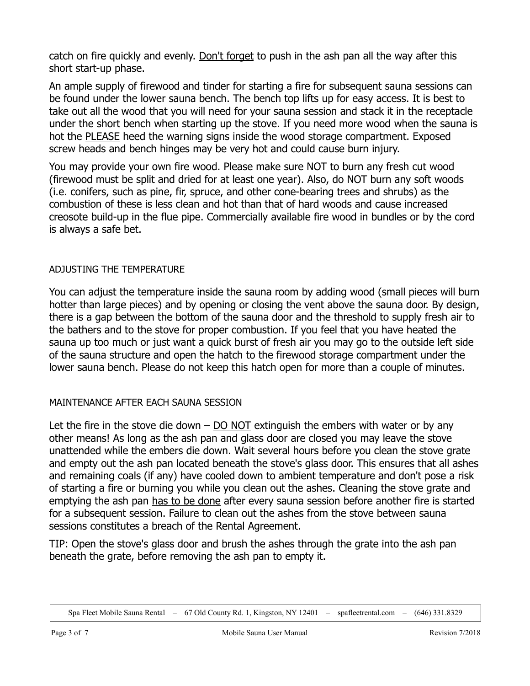catch on fire quickly and evenly. Don't forget to push in the ash pan all the way after this short start-up phase.

An ample supply of firewood and tinder for starting a fire for subsequent sauna sessions can be found under the lower sauna bench. The bench top lifts up for easy access. It is best to take out all the wood that you will need for your sauna session and stack it in the receptacle under the short bench when starting up the stove. If you need more wood when the sauna is hot the PLEASE heed the warning signs inside the wood storage compartment. Exposed screw heads and bench hinges may be very hot and could cause burn injury.

You may provide your own fire wood. Please make sure NOT to burn any fresh cut wood (firewood must be split and dried for at least one year). Also, do NOT burn any soft woods (i.e. conifers, such as pine, fir, spruce, and other cone-bearing trees and shrubs) as the combustion of these is less clean and hot than that of hard woods and cause increased creosote build-up in the flue pipe. Commercially available fire wood in bundles or by the cord is always a safe bet.

## ADJUSTING THE TEMPERATURE

You can adjust the temperature inside the sauna room by adding wood (small pieces will burn hotter than large pieces) and by opening or closing the vent above the sauna door. By design, there is a gap between the bottom of the sauna door and the threshold to supply fresh air to the bathers and to the stove for proper combustion. If you feel that you have heated the sauna up too much or just want a quick burst of fresh air you may go to the outside left side of the sauna structure and open the hatch to the firewood storage compartment under the lower sauna bench. Please do not keep this hatch open for more than a couple of minutes.

# MAINTENANCE AFTER EACH SAUNA SESSION

Let the fire in the stove die down  $-$  DO NOT extinguish the embers with water or by any other means! As long as the ash pan and glass door are closed you may leave the stove unattended while the embers die down. Wait several hours before you clean the stove grate and empty out the ash pan located beneath the stove's glass door. This ensures that all ashes and remaining coals (if any) have cooled down to ambient temperature and don't pose a risk of starting a fire or burning you while you clean out the ashes. Cleaning the stove grate and emptying the ash pan has to be done after every sauna session before another fire is started for a subsequent session. Failure to clean out the ashes from the stove between sauna sessions constitutes a breach of the Rental Agreement.

TIP: Open the stove's glass door and brush the ashes through the grate into the ash pan beneath the grate, before removing the ash pan to empty it.

Spa Fleet Mobile Sauna Rental – 67 Old County Rd. 1, Kingston, NY 12401 – spafleetrental.com – (646) 331.8329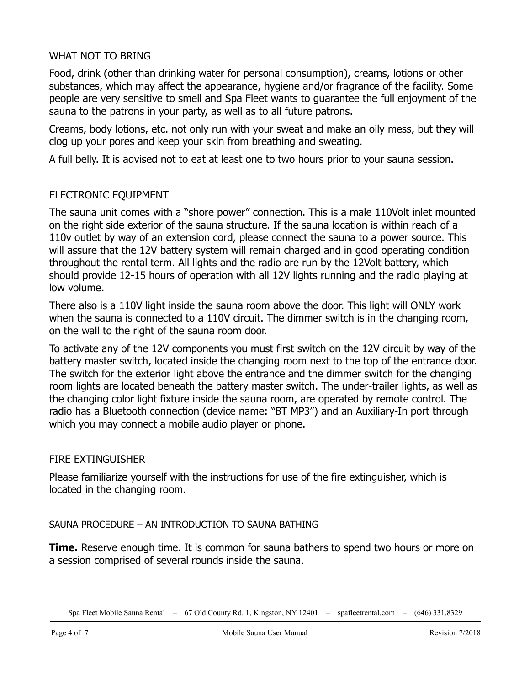## WHAT NOT TO BRING

Food, drink (other than drinking water for personal consumption), creams, lotions or other substances, which may affect the appearance, hygiene and/or fragrance of the facility. Some people are very sensitive to smell and Spa Fleet wants to guarantee the full enjoyment of the sauna to the patrons in your party, as well as to all future patrons.

Creams, body lotions, etc. not only run with your sweat and make an oily mess, but they will clog up your pores and keep your skin from breathing and sweating.

A full belly. It is advised not to eat at least one to two hours prior to your sauna session.

## ELECTRONIC EQUIPMENT

The sauna unit comes with a "shore power" connection. This is a male 110Volt inlet mounted on the right side exterior of the sauna structure. If the sauna location is within reach of a 110v outlet by way of an extension cord, please connect the sauna to a power source. This will assure that the 12V battery system will remain charged and in good operating condition throughout the rental term. All lights and the radio are run by the 12Volt battery, which should provide 12-15 hours of operation with all 12V lights running and the radio playing at low volume.

There also is a 110V light inside the sauna room above the door. This light will ONLY work when the sauna is connected to a 110V circuit. The dimmer switch is in the changing room, on the wall to the right of the sauna room door.

To activate any of the 12V components you must first switch on the 12V circuit by way of the battery master switch, located inside the changing room next to the top of the entrance door. The switch for the exterior light above the entrance and the dimmer switch for the changing room lights are located beneath the battery master switch. The under-trailer lights, as well as the changing color light fixture inside the sauna room, are operated by remote control. The radio has a Bluetooth connection (device name: "BT MP3") and an Auxiliary-In port through which you may connect a mobile audio player or phone.

## FIRE EXTINGUISHER

Please familiarize yourself with the instructions for use of the fire extinguisher, which is located in the changing room.

SAUNA PROCEDURE – AN INTRODUCTION TO SAUNA BATHING

**Time.** Reserve enough time. It is common for sauna bathers to spend two hours or more on a session comprised of several rounds inside the sauna.

Spa Fleet Mobile Sauna Rental – 67 Old County Rd. 1, Kingston, NY 12401 – spafleetrental.com – (646) 331.8329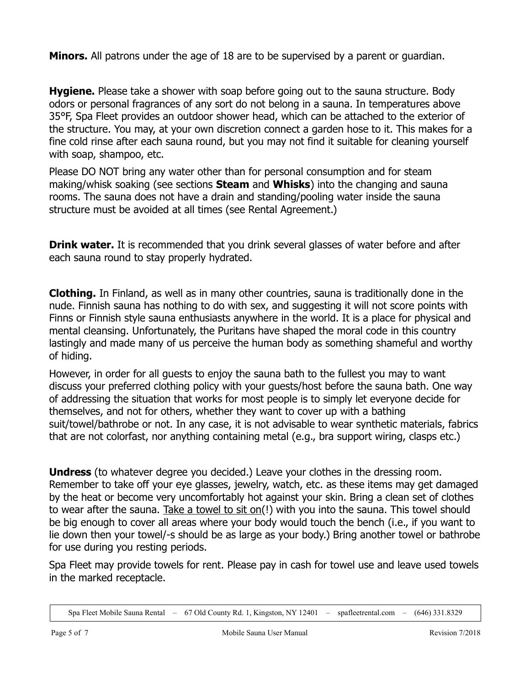**Minors.** All patrons under the age of 18 are to be supervised by a parent or guardian.

**Hygiene.** Please take a shower with soap before going out to the sauna structure. Body odors or personal fragrances of any sort do not belong in a sauna. In temperatures above 35°F, Spa Fleet provides an outdoor shower head, which can be attached to the exterior of the structure. You may, at your own discretion connect a garden hose to it. This makes for a fine cold rinse after each sauna round, but you may not find it suitable for cleaning yourself with soap, shampoo, etc.

Please DO NOT bring any water other than for personal consumption and for steam making/whisk soaking (see sections **Steam** and **Whisks**) into the changing and sauna rooms. The sauna does not have a drain and standing/pooling water inside the sauna structure must be avoided at all times (see Rental Agreement.)

**Drink water.** It is recommended that you drink several glasses of water before and after each sauna round to stay properly hydrated.

**Clothing.** In Finland, as well as in many other countries, sauna is traditionally done in the nude. Finnish sauna has nothing to do with sex, and suggesting it will not score points with Finns or Finnish style sauna enthusiasts anywhere in the world. It is a place for physical and mental cleansing. Unfortunately, the Puritans have shaped the moral code in this country lastingly and made many of us perceive the human body as something shameful and worthy of hiding.

However, in order for all guests to enjoy the sauna bath to the fullest you may to want discuss your preferred clothing policy with your guests/host before the sauna bath. One way of addressing the situation that works for most people is to simply let everyone decide for themselves, and not for others, whether they want to cover up with a bathing suit/towel/bathrobe or not. In any case, it is not advisable to wear synthetic materials, fabrics that are not colorfast, nor anything containing metal (e.g., bra support wiring, clasps etc.)

**Undress** (to whatever degree you decided.) Leave your clothes in the dressing room. Remember to take off your eye glasses, jewelry, watch, etc. as these items may get damaged by the heat or become very uncomfortably hot against your skin. Bring a clean set of clothes to wear after the sauna. Take a towel to sit on(!) with you into the sauna. This towel should be big enough to cover all areas where your body would touch the bench (i.e., if you want to lie down then your towel/-s should be as large as your body.) Bring another towel or bathrobe for use during you resting periods.

Spa Fleet may provide towels for rent. Please pay in cash for towel use and leave used towels in the marked receptacle.

Spa Fleet Mobile Sauna Rental – 67 Old County Rd. 1, Kingston, NY 12401 – spafleetrental.com – (646) 331.8329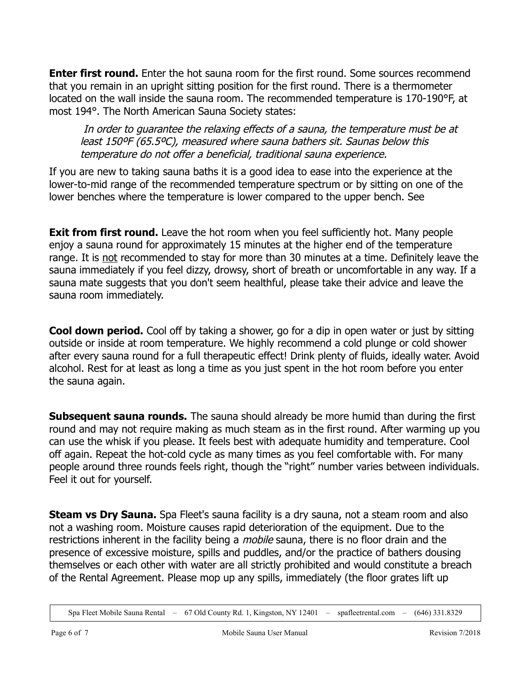**Enter first round.** Enter the hot sauna room for the first round. Some sources recommend that you remain in an upright sitting position for the first round. There is a thermometer located on the wall inside the sauna room. The recommended temperature is 170-190°F, at most 194°. The North American Sauna Society states:

In order to guarantee the relaxing effects of a sauna, the temperature must be at least 150ºF (65.5ºC), measured where sauna bathers sit. Saunas below this temperature do not offer a beneficial, traditional sauna experience.

If you are new to taking sauna baths it is a good idea to ease into the experience at the lower-to-mid range of the recommended temperature spectrum or by sitting on one of the lower benches where the temperature is lower compared to the upper bench. See

**Exit from first round.** Leave the hot room when you feel sufficiently hot. Many people enjoy a sauna round for approximately 15 minutes at the higher end of the temperature range. It is not recommended to stay for more than 30 minutes at a time. Definitely leave the sauna immediately if you feel dizzy, drowsy, short of breath or uncomfortable in any way. If a sauna mate suggests that you don't seem healthful, please take their advice and leave the sauna room immediately.

**Cool down period.** Cool off by taking a shower, go for a dip in open water or just by sitting outside or inside at room temperature. We highly recommend a cold plunge or cold shower after every sauna round for a full therapeutic effect! Drink plenty of fluids, ideally water. Avoid alcohol. Rest for at least as long a time as you just spent in the hot room before you enter the sauna again.

**Subsequent sauna rounds.** The sauna should already be more humid than during the first round and may not require making as much steam as in the first round. After warming up you can use the whisk if you please. It feels best with adequate humidity and temperature. Cool off again. Repeat the hot-cold cycle as many times as you feel comfortable with. For many people around three rounds feels right, though the "right" number varies between individuals. Feel it out for yourself.

**Steam vs Dry Sauna.** Spa Fleet's sauna facility is a dry sauna, not a steam room and also not a washing room. Moisture causes rapid deterioration of the equipment. Due to the restrictions inherent in the facility being a *mobile* sauna, there is no floor drain and the presence of excessive moisture, spills and puddles, and/or the practice of bathers dousing themselves or each other with water are all strictly prohibited and would constitute a breach of the Rental Agreement. Please mop up any spills, immediately (the floor grates lift up

Spa Fleet Mobile Sauna Rental – 67 Old County Rd. 1, Kingston, NY 12401 – spafleetrental.com – (646) 331.8329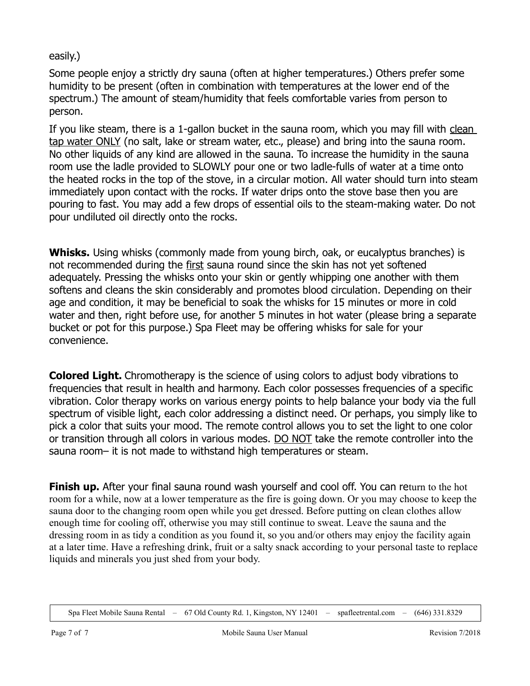easily.)

Some people enjoy a strictly dry sauna (often at higher temperatures.) Others prefer some humidity to be present (often in combination with temperatures at the lower end of the spectrum.) The amount of steam/humidity that feels comfortable varies from person to person.

If you like steam, there is a 1-gallon bucket in the sauna room, which you may fill with clean tap water ONLY (no salt, lake or stream water, etc., please) and bring into the sauna room. No other liquids of any kind are allowed in the sauna. To increase the humidity in the sauna room use the ladle provided to SLOWLY pour one or two ladle-fulls of water at a time onto the heated rocks in the top of the stove, in a circular motion. All water should turn into steam immediately upon contact with the rocks. If water drips onto the stove base then you are pouring to fast. You may add a few drops of essential oils to the steam-making water. Do not pour undiluted oil directly onto the rocks.

Whisks. Using whisks (commonly made from young birch, oak, or eucalyptus branches) is not recommended during the first sauna round since the skin has not yet softened adequately. Pressing the whisks onto your skin or gently whipping one another with them softens and cleans the skin considerably and promotes blood circulation. Depending on their age and condition, it may be beneficial to soak the whisks for 15 minutes or more in cold water and then, right before use, for another 5 minutes in hot water (please bring a separate bucket or pot for this purpose.) Spa Fleet may be offering whisks for sale for your convenience.

**Colored Light.** Chromotherapy is the science of using colors to adjust body vibrations to frequencies that result in health and harmony. Each color possesses frequencies of a specific vibration. Color therapy works on various energy points to help balance your body via the full spectrum of visible light, each color addressing a distinct need. Or perhaps, you simply like to pick a color that suits your mood. The remote control allows you to set the light to one color or transition through all colors in various modes. DO NOT take the remote controller into the sauna room– it is not made to withstand high temperatures or steam.

**Finish up.** After your final sauna round wash yourself and cool off. You can return to the hot room for a while, now at a lower temperature as the fire is going down. Or you may choose to keep the sauna door to the changing room open while you get dressed. Before putting on clean clothes allow enough time for cooling off, otherwise you may still continue to sweat. Leave the sauna and the dressing room in as tidy a condition as you found it, so you and/or others may enjoy the facility again at a later time. Have a refreshing drink, fruit or a salty snack according to your personal taste to replace liquids and minerals you just shed from your body.

Spa Fleet Mobile Sauna Rental – 67 Old County Rd. 1, Kingston, NY 12401 – spafleetrental.com – (646) 331.8329